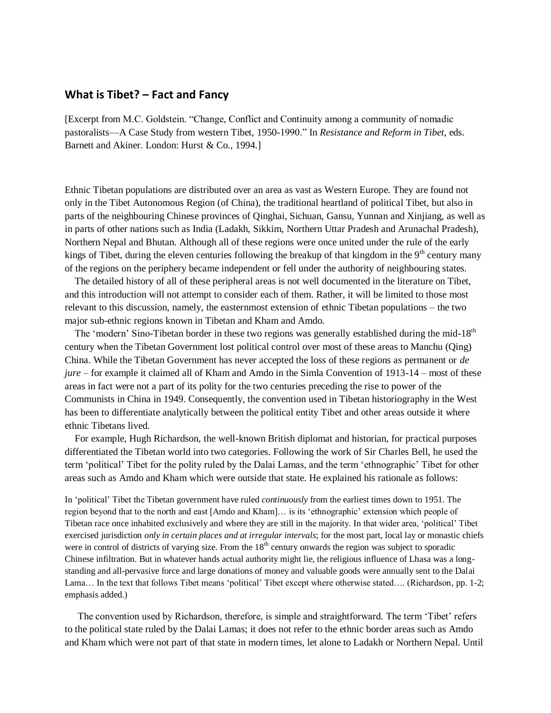## **What is Tibet? – Fact and Fancy**

[Excerpt from M.C. Goldstein. "Change, Conflict and Continuity among a community of nomadic pastoralists—A Case Study from western Tibet, 1950-1990." In *Resistance and Reform in Tibet*, eds. Barnett and Akiner. London: Hurst & Co., 1994.]

Ethnic Tibetan populations are distributed over an area as vast as Western Europe. They are found not only in the Tibet Autonomous Region (of China), the traditional heartland of political Tibet, but also in parts of the neighbouring Chinese provinces of Qinghai, Sichuan, Gansu, Yunnan and Xinjiang, as well as in parts of other nations such as India (Ladakh, Sikkim, Northern Uttar Pradesh and Arunachal Pradesh), Northern Nepal and Bhutan. Although all of these regions were once united under the rule of the early kings of Tibet, during the eleven centuries following the breakup of that kingdom in the  $9<sup>th</sup>$  century many of the regions on the periphery became independent or fell under the authority of neighbouring states.

 The detailed history of all of these peripheral areas is not well documented in the literature on Tibet, and this introduction will not attempt to consider each of them. Rather, it will be limited to those most relevant to this discussion, namely, the easternmost extension of ethnic Tibetan populations – the two major sub-ethnic regions known in Tibetan and Kham and Amdo.

The 'modern' Sino-Tibetan border in these two regions was generally established during the mid-18<sup>th</sup> century when the Tibetan Government lost political control over most of these areas to Manchu (Qing) China. While the Tibetan Government has never accepted the loss of these regions as permanent or *de jure* – for example it claimed all of Kham and Amdo in the Simla Convention of 1913-14 – most of these areas in fact were not a part of its polity for the two centuries preceding the rise to power of the Communists in China in 1949. Consequently, the convention used in Tibetan historiography in the West has been to differentiate analytically between the political entity Tibet and other areas outside it where ethnic Tibetans lived.

 For example, Hugh Richardson, the well-known British diplomat and historian, for practical purposes differentiated the Tibetan world into two categories. Following the work of Sir Charles Bell, he used the term ‗political' Tibet for the polity ruled by the Dalai Lamas, and the term ‗ethnographic' Tibet for other areas such as Amdo and Kham which were outside that state. He explained his rationale as follows:

In ‗political' Tibet the Tibetan government have ruled *continuously* from the earliest times down to 1951. The region beyond that to the north and east [Amdo and Kham]… is its ‗ethnographic' extension which people of Tibetan race once inhabited exclusively and where they are still in the majority. In that wider area, 'political' Tibet exercised jurisdiction *only in certain places and at irregular intervals*; for the most part, local lay or monastic chiefs were in control of districts of varying size. From the  $18<sup>th</sup>$  century onwards the region was subject to sporadic Chinese infiltration. But in whatever hands actual authority might lie, the religious influence of Lhasa was a longstanding and all-pervasive force and large donations of money and valuable goods were annually sent to the Dalai Lama... In the text that follows Tibet means 'political' Tibet except where otherwise stated.... (Richardson, pp. 1-2; emphasis added.)

The convention used by Richardson, therefore, is simple and straightforward. The term 'Tibet' refers to the political state ruled by the Dalai Lamas; it does not refer to the ethnic border areas such as Amdo and Kham which were not part of that state in modern times, let alone to Ladakh or Northern Nepal. Until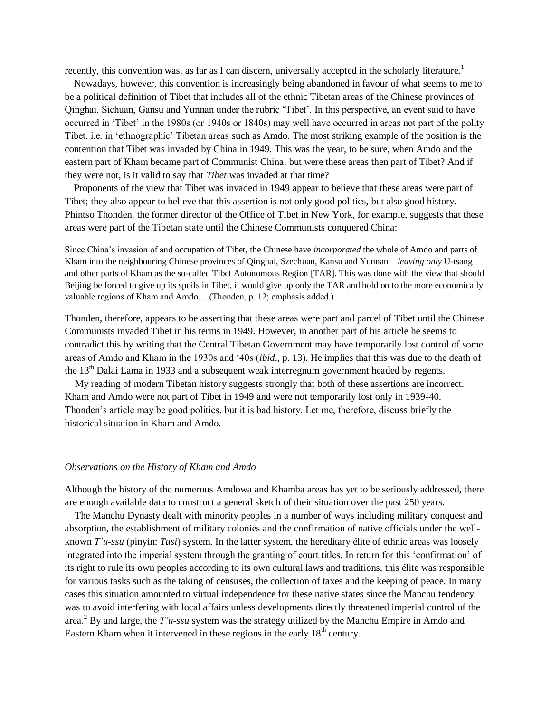recently, this convention was, as far as I can discern, universally accepted in the scholarly literature.<sup>1</sup>

 Nowadays, however, this convention is increasingly being abandoned in favour of what seems to me to be a political definition of Tibet that includes all of the ethnic Tibetan areas of the Chinese provinces of Qinghai, Sichuan, Gansu and Yunnan under the rubric ‗Tibet'. In this perspective, an event said to have occurred in ‗Tibet' in the 1980s (or 1940s or 1840s) may well have occurred in areas not part of the polity Tibet, i.e. in 'ethnographic' Tibetan areas such as Amdo. The most striking example of the position is the contention that Tibet was invaded by China in 1949. This was the year, to be sure, when Amdo and the eastern part of Kham became part of Communist China, but were these areas then part of Tibet? And if they were not, is it valid to say that *Tibet* was invaded at that time?

 Proponents of the view that Tibet was invaded in 1949 appear to believe that these areas were part of Tibet; they also appear to believe that this assertion is not only good politics, but also good history. Phintso Thonden, the former director of the Office of Tibet in New York, for example, suggests that these areas were part of the Tibetan state until the Chinese Communists conquered China:

Since China's invasion of and occupation of Tibet, the Chinese have *incorporated* the whole of Amdo and parts of Kham into the neighbouring Chinese provinces of Qinghai, Szechuan, Kansu and Yunnan – *leaving only* U-tsang and other parts of Kham as the so-called Tibet Autonomous Region [TAR]. This was done with the view that should Beijing be forced to give up its spoils in Tibet, it would give up only the TAR and hold on to the more economically valuable regions of Kham and Amdo….(Thonden, p. 12; emphasis added.)

Thonden, therefore, appears to be asserting that these areas were part and parcel of Tibet until the Chinese Communists invaded Tibet in his terms in 1949. However, in another part of his article he seems to contradict this by writing that the Central Tibetan Government may have temporarily lost control of some areas of Amdo and Kham in the 1930s and ‗40s (*ibid*., p. 13). He implies that this was due to the death of the  $13<sup>th</sup>$  Dalai Lama in 1933 and a subsequent weak interregnum government headed by regents.

 My reading of modern Tibetan history suggests strongly that both of these assertions are incorrect. Kham and Amdo were not part of Tibet in 1949 and were not temporarily lost only in 1939-40. Thonden's article may be good politics, but it is bad history. Let me, therefore, discuss briefly the historical situation in Kham and Amdo.

## *Observations on the History of Kham and Amdo*

Although the history of the numerous Amdowa and Khamba areas has yet to be seriously addressed, there are enough available data to construct a general sketch of their situation over the past 250 years.

 The Manchu Dynasty dealt with minority peoples in a number of ways including military conquest and absorption, the establishment of military colonies and the confirmation of native officials under the wellknown *T'u-ssu* (pinyin: *Tusi*) system. In the latter system, the hereditary élite of ethnic areas was loosely integrated into the imperial system through the granting of court titles. In return for this 'confirmation' of its right to rule its own peoples according to its own cultural laws and traditions, this élite was responsible for various tasks such as the taking of censuses, the collection of taxes and the keeping of peace. In many cases this situation amounted to virtual independence for these native states since the Manchu tendency was to avoid interfering with local affairs unless developments directly threatened imperial control of the area.<sup>2</sup> By and large, the *T'u-ssu* system was the strategy utilized by the Manchu Empire in Amdo and Eastern Kham when it intervened in these regions in the early  $18<sup>th</sup>$  century.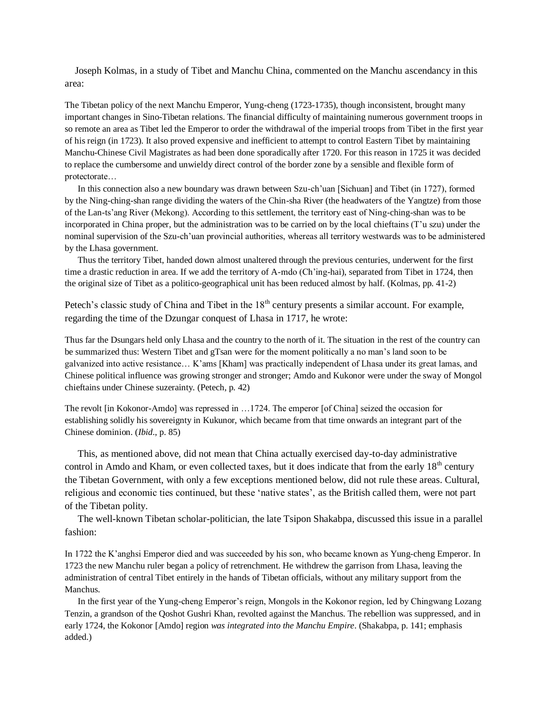Joseph Kolmas, in a study of Tibet and Manchu China, commented on the Manchu ascendancy in this area:

The Tibetan policy of the next Manchu Emperor, Yung-cheng (1723-1735), though inconsistent, brought many important changes in Sino-Tibetan relations. The financial difficulty of maintaining numerous government troops in so remote an area as Tibet led the Emperor to order the withdrawal of the imperial troops from Tibet in the first year of his reign (in 1723). It also proved expensive and inefficient to attempt to control Eastern Tibet by maintaining Manchu-Chinese Civil Magistrates as had been done sporadically after 1720. For this reason in 1725 it was decided to replace the cumbersome and unwieldy direct control of the border zone by a sensible and flexible form of protectorate…

In this connection also a new boundary was drawn between Szu-ch'uan [Sichuan] and Tibet (in 1727), formed by the Ning-ching-shan range dividing the waters of the Chin-sha River (the headwaters of the Yangtze) from those of the Lan-ts'ang River (Mekong). According to this settlement, the territory east of Ning-ching-shan was to be incorporated in China proper, but the administration was to be carried on by the local chieftains (T'u szu) under the nominal supervision of the Szu-ch'uan provincial authorities, whereas all territory westwards was to be administered by the Lhasa government.

Thus the territory Tibet, handed down almost unaltered through the previous centuries, underwent for the first time a drastic reduction in area. If we add the territory of A-mdo (Ch'ing-hai), separated from Tibet in 1724, then the original size of Tibet as a politico-geographical unit has been reduced almost by half. (Kolmas, pp. 41-2)

Petech's classic study of China and Tibet in the  $18<sup>th</sup>$  century presents a similar account. For example, regarding the time of the Dzungar conquest of Lhasa in 1717, he wrote:

Thus far the Dsungars held only Lhasa and the country to the north of it. The situation in the rest of the country can be summarized thus: Western Tibet and gTsan were for the moment politically a no man's land soon to be galvanized into active resistance… K'ams [Kham] was practically independent of Lhasa under its great lamas, and Chinese political influence was growing stronger and stronger; Amdo and Kukonor were under the sway of Mongol chieftains under Chinese suzerainty. (Petech, p. 42)

The revolt [in Kokonor-Amdo] was repressed in …1724. The emperor [of China] seized the occasion for establishing solidly his sovereignty in Kukunor, which became from that time onwards an integrant part of the Chinese dominion. (*Ibid*., p. 85)

This, as mentioned above, did not mean that China actually exercised day-to-day administrative control in Amdo and Kham, or even collected taxes, but it does indicate that from the early 18<sup>th</sup> century the Tibetan Government, with only a few exceptions mentioned below, did not rule these areas. Cultural, religious and economic ties continued, but these 'native states', as the British called them, were not part of the Tibetan polity.

The well-known Tibetan scholar-politician, the late Tsipon Shakabpa, discussed this issue in a parallel fashion:

In 1722 the K'anghsi Emperor died and was succeeded by his son, who became known as Yung-cheng Emperor. In 1723 the new Manchu ruler began a policy of retrenchment. He withdrew the garrison from Lhasa, leaving the administration of central Tibet entirely in the hands of Tibetan officials, without any military support from the Manchus.

In the first year of the Yung-cheng Emperor's reign, Mongols in the Kokonor region, led by Chingwang Lozang Tenzin, a grandson of the Qoshot Gushri Khan, revolted against the Manchus. The rebellion was suppressed, and in early 1724, the Kokonor [Amdo] region *was integrated into the Manchu Empire*. (Shakabpa, p. 141; emphasis added.)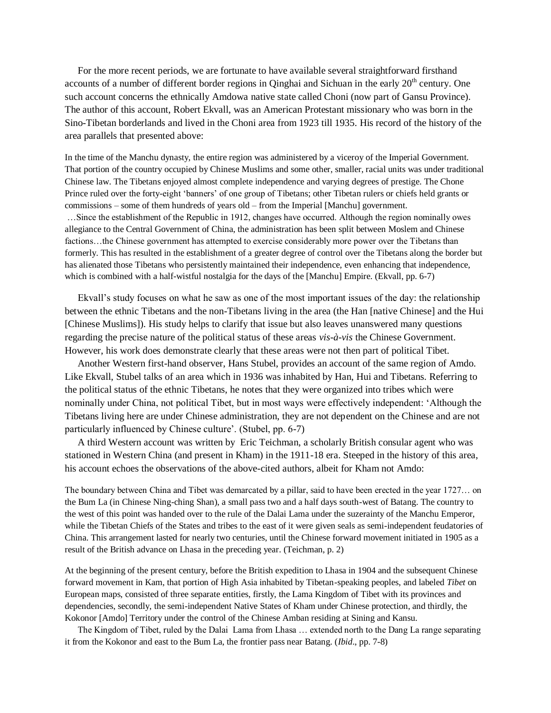For the more recent periods, we are fortunate to have available several straightforward firsthand accounts of a number of different border regions in Qinghai and Sichuan in the early 20<sup>th</sup> century. One such account concerns the ethnically Amdowa native state called Choni (now part of Gansu Province). The author of this account, Robert Ekvall, was an American Protestant missionary who was born in the Sino-Tibetan borderlands and lived in the Choni area from 1923 till 1935. His record of the history of the area parallels that presented above:

In the time of the Manchu dynasty, the entire region was administered by a viceroy of the Imperial Government. That portion of the country occupied by Chinese Muslims and some other, smaller, racial units was under traditional Chinese law. The Tibetans enjoyed almost complete independence and varying degrees of prestige. The Chone Prince ruled over the forty-eight 'banners' of one group of Tibetans; other Tibetan rulers or chiefs held grants or commissions – some of them hundreds of years old – from the Imperial [Manchu] government. …Since the establishment of the Republic in 1912, changes have occurred. Although the region nominally owes allegiance to the Central Government of China, the administration has been split between Moslem and Chinese factions...the Chinese government has attempted to exercise considerably more power over the Tibetans than formerly. This has resulted in the establishment of a greater degree of control over the Tibetans along the border but has alienated those Tibetans who persistently maintained their independence, even enhancing that independence, which is combined with a half-wistful nostalgia for the days of the [Manchu] Empire. (Ekvall, pp. 6-7)

Ekvall's study focuses on what he saw as one of the most important issues of the day: the relationship between the ethnic Tibetans and the non-Tibetans living in the area (the Han [native Chinese] and the Hui [Chinese Muslims]). His study helps to clarify that issue but also leaves unanswered many questions regarding the precise nature of the political status of these areas *vis-à-vis* the Chinese Government. However, his work does demonstrate clearly that these areas were not then part of political Tibet.

Another Western first-hand observer, Hans Stubel, provides an account of the same region of Amdo. Like Ekvall, Stubel talks of an area which in 1936 was inhabited by Han, Hui and Tibetans. Referring to the political status of the ethnic Tibetans, he notes that they were organized into tribes which were nominally under China, not political Tibet, but in most ways were effectively independent: ‗Although the Tibetans living here are under Chinese administration, they are not dependent on the Chinese and are not particularly influenced by Chinese culture'. (Stubel, pp. 6-7)

A third Western account was written by Eric Teichman, a scholarly British consular agent who was stationed in Western China (and present in Kham) in the 1911-18 era. Steeped in the history of this area, his account echoes the observations of the above-cited authors, albeit for Kham not Amdo:

The boundary between China and Tibet was demarcated by a pillar, said to have been erected in the year 1727… on the Bum La (in Chinese Ning-ching Shan), a small pass two and a half days south-west of Batang. The country to the west of this point was handed over to the rule of the Dalai Lama under the suzerainty of the Manchu Emperor, while the Tibetan Chiefs of the States and tribes to the east of it were given seals as semi-independent feudatories of China. This arrangement lasted for nearly two centuries, until the Chinese forward movement initiated in 1905 as a result of the British advance on Lhasa in the preceding year. (Teichman, p. 2)

At the beginning of the present century, before the British expedition to Lhasa in 1904 and the subsequent Chinese forward movement in Kam, that portion of High Asia inhabited by Tibetan-speaking peoples, and labeled *Tibet* on European maps, consisted of three separate entities, firstly, the Lama Kingdom of Tibet with its provinces and dependencies, secondly, the semi-independent Native States of Kham under Chinese protection, and thirdly, the Kokonor [Amdo] Territory under the control of the Chinese Amban residing at Sining and Kansu.

The Kingdom of Tibet, ruled by the Dalai Lama from Lhasa … extended north to the Dang La range separating it from the Kokonor and east to the Bum La, the frontier pass near Batang. (*Ibid*., pp. 7-8)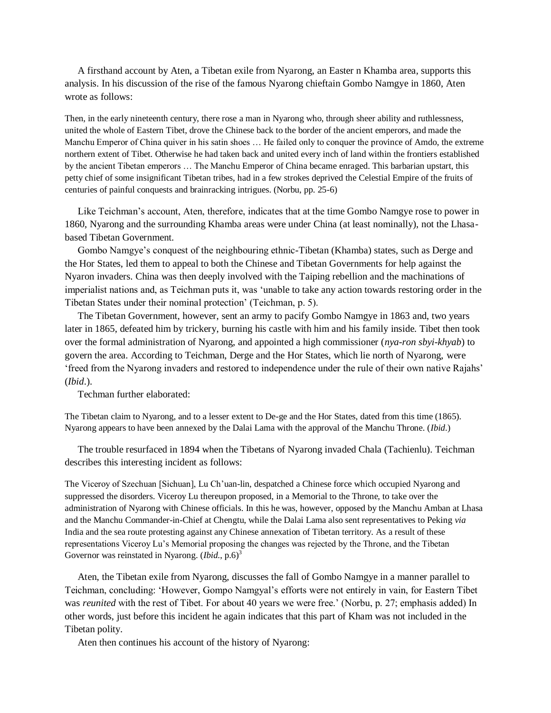A firsthand account by Aten, a Tibetan exile from Nyarong, an Easter n Khamba area, supports this analysis. In his discussion of the rise of the famous Nyarong chieftain Gombo Namgye in 1860, Aten wrote as follows:

Then, in the early nineteenth century, there rose a man in Nyarong who, through sheer ability and ruthlessness, united the whole of Eastern Tibet, drove the Chinese back to the border of the ancient emperors, and made the Manchu Emperor of China quiver in his satin shoes … He failed only to conquer the province of Amdo, the extreme northern extent of Tibet. Otherwise he had taken back and united every inch of land within the frontiers established by the ancient Tibetan emperors … The Manchu Emperor of China became enraged. This barbarian upstart, this petty chief of some insignificant Tibetan tribes, had in a few strokes deprived the Celestial Empire of the fruits of centuries of painful conquests and brainracking intrigues. (Norbu, pp. 25-6)

Like Teichman's account, Aten, therefore, indicates that at the time Gombo Namgye rose to power in 1860, Nyarong and the surrounding Khamba areas were under China (at least nominally), not the Lhasabased Tibetan Government.

Gombo Namgye's conquest of the neighbouring ethnic-Tibetan (Khamba) states, such as Derge and the Hor States, led them to appeal to both the Chinese and Tibetan Governments for help against the Nyaron invaders. China was then deeply involved with the Taiping rebellion and the machinations of imperialist nations and, as Teichman puts it, was 'unable to take any action towards restoring order in the Tibetan States under their nominal protection' (Teichman, p. 5).

The Tibetan Government, however, sent an army to pacify Gombo Namgye in 1863 and, two years later in 1865, defeated him by trickery, burning his castle with him and his family inside. Tibet then took over the formal administration of Nyarong, and appointed a high commissioner (*nya-ron sbyi-khyab*) to govern the area. According to Teichman, Derge and the Hor States, which lie north of Nyarong, were ‗freed from the Nyarong invaders and restored to independence under the rule of their own native Rajahs' (*Ibid*.).

Techman further elaborated:

The Tibetan claim to Nyarong, and to a lesser extent to De-ge and the Hor States, dated from this time (1865). Nyarong appears to have been annexed by the Dalai Lama with the approval of the Manchu Throne. (*Ibid*.)

The trouble resurfaced in 1894 when the Tibetans of Nyarong invaded Chala (Tachienlu). Teichman describes this interesting incident as follows:

The Viceroy of Szechuan [Sichuan], Lu Ch'uan-lin, despatched a Chinese force which occupied Nyarong and suppressed the disorders. Viceroy Lu thereupon proposed, in a Memorial to the Throne, to take over the administration of Nyarong with Chinese officials. In this he was, however, opposed by the Manchu Amban at Lhasa and the Manchu Commander-in-Chief at Chengtu, while the Dalai Lama also sent representatives to Peking *via* India and the sea route protesting against any Chinese annexation of Tibetan territory. As a result of these representations Viceroy Lu's Memorial proposing the changes was rejected by the Throne, and the Tibetan Governor was reinstated in Nyarong. (*Ibid.*, p.6)<sup>3</sup>

Aten, the Tibetan exile from Nyarong, discusses the fall of Gombo Namgye in a manner parallel to Teichman, concluding: ‗However, Gompo Namgyal's efforts were not entirely in vain, for Eastern Tibet was *reunited* with the rest of Tibet. For about 40 years we were free.' (Norbu, p. 27; emphasis added) In other words, just before this incident he again indicates that this part of Kham was not included in the Tibetan polity.

Aten then continues his account of the history of Nyarong: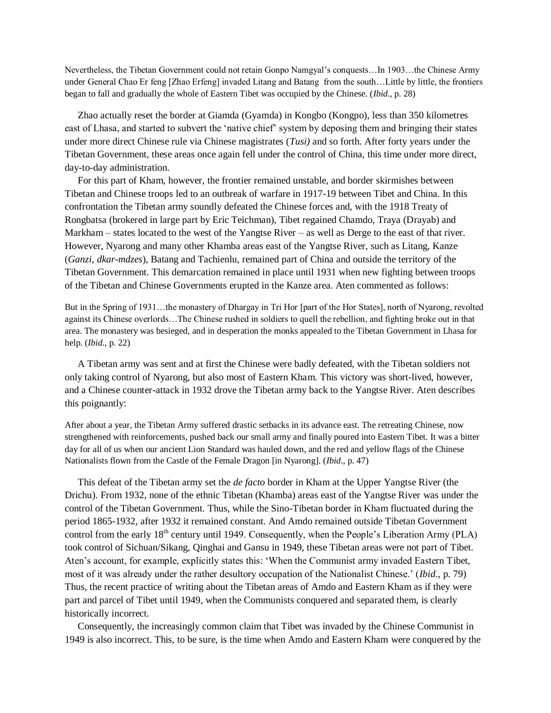Nevertheless, the Tibetan Government could not retain Gonpo Namgyal's conquests…In 1903…the Chinese Army under General Chao Er feng [Zhao Erfeng] invaded Litang and Batang from the south…Little by little, the frontiers began to fall and gradually the whole of Eastern Tibet was occupied by the Chinese. (*Ibid*., p. 28)

Zhao actually reset the border at Giamda (Gyamda) in Kongbo (Kongpo), less than 350 kilometres east of Lhasa, and started to subvert the 'native chief' system by deposing them and bringing their states under more direct Chinese rule via Chinese magistrates (*Tusi)* and so forth. After forty years under the Tibetan Government, these areas once again fell under the control of China, this time under more direct, day-to-day administration.

For this part of Kham, however, the frontier remained unstable, and border skirmishes between Tibetan and Chinese troops led to an outbreak of warfare in 1917-19 between Tibet and China. In this confrontation the Tibetan army soundly defeated the Chinese forces and, with the 1918 Treaty of Rongbatsa (brokered in large part by Eric Teichman), Tibet regained Chamdo, Traya (Drayab) and Markham – states located to the west of the Yangtse River – as well as Derge to the east of that river. However, Nyarong and many other Khamba areas east of the Yangtse River, such as Litang, Kanze (*Ganzi, dkar-mdzes*), Batang and Tachienlu, remained part of China and outside the territory of the Tibetan Government. This demarcation remained in place until 1931 when new fighting between troops of the Tibetan and Chinese Governments erupted in the Kanze area. Aten commented as follows:

But in the Spring of 1931...the monastery of Dhargay in Tri Hor [part of the Hor States], north of Nyarong, revolted against its Chinese overlords…The Chinese rushed in soldiers to quell the rebellion, and fighting broke out in that area. The monastery was besieged, and in desperation the monks appealed to the Tibetan Government in Lhasa for help. (*Ibid*., p. 22)

A Tibetan army was sent and at first the Chinese were badly defeated, with the Tibetan soldiers not only taking control of Nyarong, but also most of Eastern Kham. This victory was short-lived, however, and a Chinese counter-attack in 1932 drove the Tibetan army back to the Yangtse River. Aten describes this poignantly:

After about a year, the Tibetan Army suffered drastic setbacks in its advance east. The retreating Chinese, now strengthened with reinforcements, pushed back our small army and finally poured into Eastern Tibet. It was a bitter day for all of us when our ancient Lion Standard was hauled down, and the red and yellow flags of the Chinese Nationalists flown from the Castle of the Female Dragon [in Nyarong]. (*Ibid*., p. 47)

This defeat of the Tibetan army set the *de facto* border in Kham at the Upper Yangtse River (the Drichu). From 1932, none of the ethnic Tibetan (Khamba) areas east of the Yangtse River was under the control of the Tibetan Government. Thus, while the Sino-Tibetan border in Kham fluctuated during the period 1865-1932, after 1932 it remained constant. And Amdo remained outside Tibetan Government control from the early 18<sup>th</sup> century until 1949. Consequently, when the People's Liberation Army (PLA) took control of Sichuan/Sikang, Qinghai and Gansu in 1949, these Tibetan areas were not part of Tibet. Aten's account, for example, explicitly states this: ‗When the Communist army invaded Eastern Tibet, most of it was already under the rather desultory occupation of the Nationalist Chinese.' (*Ibid*., p. 79) Thus, the recent practice of writing about the Tibetan areas of Amdo and Eastern Kham as if they were part and parcel of Tibet until 1949, when the Communists conquered and separated them, is clearly historically incorrect.

Consequently, the increasingly common claim that Tibet was invaded by the Chinese Communist in 1949 is also incorrect. This, to be sure, is the time when Amdo and Eastern Kham were conquered by the